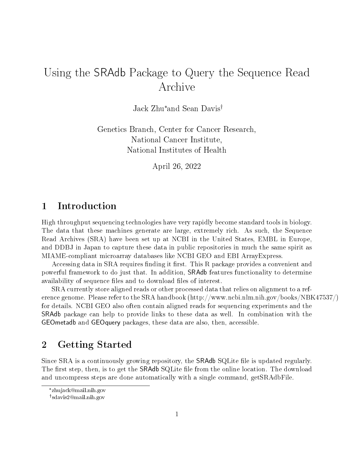# Using the SRAdb Package to Query the Sequence Read Archive

Jack Zhu\* and Sean Davis

Genetics Branch, Center for Cancer Research, National Cancer Institute, National Institutes of Health

April 26, 2022

### 1 Introduction

High throughput sequencing technologies have very rapidly become standard tools in biology. The data that these machines generate are large, extremely rich. As such, the Sequence Read Archives (SRA) have been set up at NCBI in the United States, EMBL in Europe, and DDBJ in Japan to capture these data in public repositories in much the same spirit as MIAME-compliant microarray databases like NCBI GEO and EBI ArrayExpress.

Accessing data in SRA requires finding it first. This R package provides a convenient and powerful framework to do just that. In addition, SRAdb features functionality to determine availability of sequence files and to download files of interest.

SRA currently store aligned reads or other processed data that relies on alignment to a reference genome. Please refer to the SRA handbook (http://www.ncbi.nlm.nih.gov/books/NBK47537/) for details. NCBI GEO also often contain aligned reads for sequencing experiments and the SRAdb package can help to provide links to these data as well. In combination with the GEOmetadb and GEOquery packages, these data are also, then, accessible.

### 2 Getting Started

Since SRA is a continuously growing repository, the SRAdb SQLite file is updated regularly. The first step, then, is to get the SRAdb SQLite file from the online location. The download and uncompress steps are done automatically with a single command, getSRAdbFile.

<sup>\*</sup> zhujack@mail.nih.gov

sdavis2@mail.nih.gov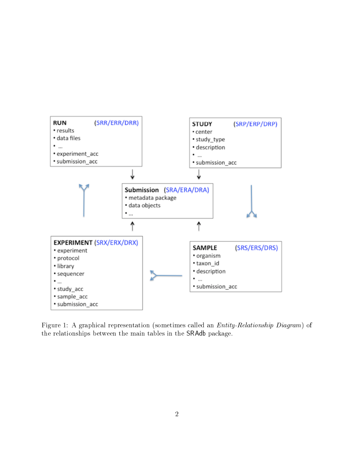

Figure 1: A graphical representation (sometimes called an Entity-Relationship Diagram) of the relationships between the main tables in the SRAdb package.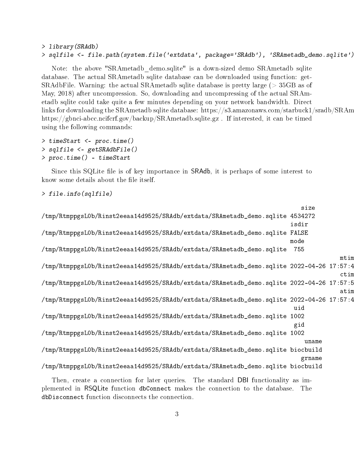#### > library(SRAdb) > sqlfile <- file.path(system.file('extdata', package='SRAdb'), 'SRAmetadb\_demo.sqlite')

Note: the above "SRAmetadb\_demo.sqlite" is a down-sized demo SRAmetadb sqlite database. The actual SRAmetadb sqlite database can be downloaded using function: get-SRAdbFile. Warning: the actual SRAmetadb sqlite database is pretty large (> 35GB as of May, 2018) after uncompression. So, downloading and uncompressing of the actual SRAmetadb sqlite could take quite a few minutes depending on your network bandwidth. Direct links for downloading the SRAmetadb sqlite database: https://s3.amazonaws.com/starbuck1/sradb/SRAm https://gbnci-abcc.ncifcrf.gov/backup/SRAmetadb.sqlite.gz . If interested, it can be timed using the following commands:

> timeStart <- proc.time() > sqlfile <- getSRAdbFile() > proc.time() - timeStart

Since this SQLite file is of key importance in SRAdb, it is perhaps of some interest to know some details about the file itself.

> file.info(sqlfile)

|                                                                                          | size   |      |
|------------------------------------------------------------------------------------------|--------|------|
| /tmp/RtmppgsL0b/Rinst2eeaa14d9525/SRAdb/extdata/SRAmetadb_demo.sqlite 4534272            |        |      |
|                                                                                          | isdir  |      |
| /tmp/RtmppgsL0b/Rinst2eeaa14d9525/SRAdb/extdata/SRAmetadb_demo.sqlite FALSE              |        |      |
|                                                                                          | mode   |      |
| /tmp/RtmppgsL0b/Rinst2eeaa14d9525/SRAdb/extdata/SRAmetadb_demo.sqlite                    | 755    |      |
|                                                                                          |        | mtim |
| /tmp/RtmppgsLOb/Rinst2eeaa14d9525/SRAdb/extdata/SRAmetadb_demo.sqlite 2022-04-26 17:57:4 |        |      |
|                                                                                          |        | ctim |
| tmp/RtmppgsL0b/Rinst2eeaa14d9525/SRAdb/extdata/SRAmetadb_demo.sqlite 2022-04-26 17:57:5  |        |      |
|                                                                                          |        | atim |
| /tmp/RtmppgsL0b/Rinst2eeaa14d9525/SRAdb/extdata/SRAmetadb_demo.sqlite 2022-04-26 17:57:4 |        |      |
|                                                                                          | uid    |      |
| /tmp/RtmppgsL0b/Rinst2eeaa14d9525/SRAdb/extdata/SRAmetadb_demo.sqlite 1002               |        |      |
|                                                                                          | gid    |      |
| /tmp/RtmppgsL0b/Rinst2eeaa14d9525/SRAdb/extdata/SRAmetadb_demo.sqlite 1002               |        |      |
|                                                                                          | uname  |      |
| /tmp/RtmppgsL0b/Rinst2eeaa14d9525/SRAdb/extdata/SRAmetadb_demo.sqlite biocbuild          |        |      |
|                                                                                          | grname |      |
| /tmp/RtmppgsL0b/Rinst2eeaa14d9525/SRAdb/extdata/SRAmetadb_demo.sqlite biocbuild          |        |      |
| Then, create a connection for later queries. The standard DBI functionality as im-       |        |      |

plemented in RSQLite function dbConnect makes the connection to the database. The dbDisconnect function disconnects the connection.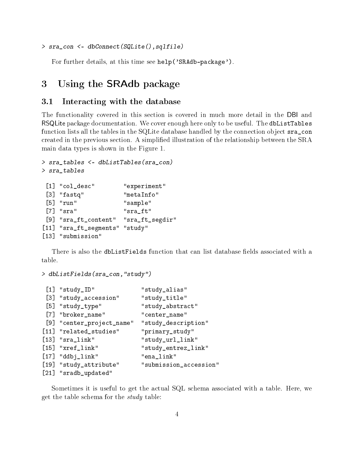#### > sra\_con <- dbConnect(SQLite(),sqlfile)

For further details, at this time see help('SRAdb-package').

### 3 Using the SRAdb package

#### 3.1 Interacting with the database

The functionality covered in this section is covered in much more detail in the DBI and RSQLite package documentation. We cover enough here only to be useful. The dbListTables function lists all the tables in the SQLite database handled by the connection object sra\_con created in the previous section. A simplied illustration of the relationship between the SRA main data types is shown in the Figure 1.

```
> sra_tables <- dbListTables(sra_con)
> sra_tables
 [1] "col_desc" "experiment"
 [3] "fastq" "metaInfo"
 [5] "run" "sample"
 [7] "sra" "sra_ft"
 [9] "sra_ft_content" "sra_ft_segdir"
[11] "sra_ft_segments" "study"
[13] "submission"
```
There is also the dbListFields function that can list database fields associated with a table.

> dbListFields(sra\_con,"study")

```
[1] "study_ID" "study_alias"
[3] "study_accession" "study_title"
[5] "study_type" "study_abstract"
[7] "broker_name" "center_name"
[9] "center_project_name" "study_description"
[11] "related_studies" "primary_study"
[13] "sra_link" "study_url_link"
[15] "xref_link" "study_entrez_link"
[17] "ddbj_link" "ena_link"
[19] "study_attribute" "submission_accession"
[21] "sradb_updated"
```
Sometimes it is useful to get the actual SQL schema associated with a table. Here, we get the table schema for the study table: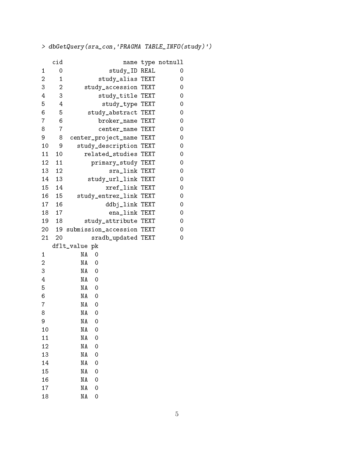> dbGetQuery(sra\_con,'PRAGMA TABLE\_INFO(study)')

|                | cid            |               |                        | name           | type        | notnull |
|----------------|----------------|---------------|------------------------|----------------|-------------|---------|
| 1              | 0              |               |                        | study_ID REAL  |             | 0       |
| $\overline{c}$ | $\mathbf{1}$   |               | study_alias TEXT       |                |             | 0       |
| 3              | $\overline{c}$ |               | study_accession        |                | TEXT        | 0       |
| 4              | 3              |               | study_title            |                | TEXT        | $\circ$ |
| 5              | 4              |               | study_type             |                | TEXT        | 0       |
| 6              | 5              |               | study_abstract TEXT    |                |             | 0       |
| 7              | 6              |               | broker_name TEXT       |                |             | 0       |
| 8              | $\overline{7}$ |               | center_name            |                | <b>TEXT</b> | 0       |
| 9              | 8              |               | center_project_name    |                | TEXT        | $\circ$ |
| 10             | 9              |               | study_description TEXT |                |             | 0       |
| 11             | 10             |               | related_studies        |                | TEXT        | 0       |
| 12             | 11             |               | primary_study TEXT     |                |             | 0       |
| 13             | 12             |               |                        | sra_link       | TEXT        | 0       |
| 14             | 13             |               | study_url_link TEXT    |                |             | $\circ$ |
| 15             | 14             |               |                        | xref_link      | TEXT        | 0       |
| 16             | 15             |               | study_entrez_link TEXT |                |             | 0       |
| 17             | 16             |               |                        | ddbj_link TEXT |             | 0       |
| 18             | 17             |               |                        | ena_link TEXT  |             | 0       |
| 19             | 18             |               | study_attribute TEXT   |                |             | 0       |
| 20             | 19             |               | submission_accession   |                | TEXT        | 0       |
| 21             | 20             |               | sradb_updated TEXT     |                |             | 0       |
|                |                | dflt_value pk |                        |                |             |         |
| 1              |                | ΝA            | 0                      |                |             |         |
| $\overline{c}$ |                | ΝA            | 0                      |                |             |         |
| 3              |                | ΝA            | 0                      |                |             |         |
| 4              |                | ΝA            | $\overline{0}$         |                |             |         |
| 5              |                | NA            | $\mathbf 0$            |                |             |         |
| 6              |                | ΝA            | 0                      |                |             |         |
| 7              |                | ΝA            | 0                      |                |             |         |
| 8              |                | ΝA            | 0                      |                |             |         |
| 9              |                | NA            | 0                      |                |             |         |
| 10             |                | ΝA            | 0                      |                |             |         |
| 11             |                | ΝA            | 0                      |                |             |         |
| 12             |                | ΝA            | 0                      |                |             |         |
| 13             |                | ΝA            | 0                      |                |             |         |
| 14             |                | ΝA            | 0                      |                |             |         |
| 15             |                | NA            | 0                      |                |             |         |
| 16             |                | ΝA            | 0                      |                |             |         |
| 17             |                | N A           | 0                      |                |             |         |
| 18             |                | ΝA            | 0                      |                |             |         |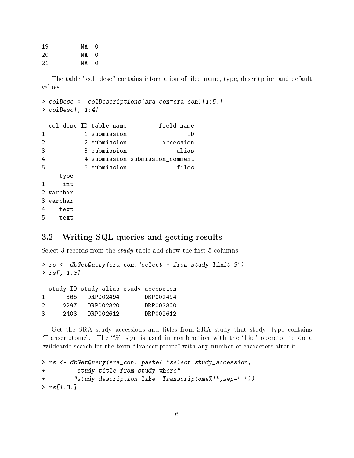19 NA 0 20 NA 0 21 NA 0

The table "col\_desc" contains information of filed name, type, descritption and default values:

```
> colDesc <- colDescriptions(sra_con=sra_con)[1:5,]
> colDesc[, 1:4]
```

|                | col_desc_ID table_name |              | field_name                      |
|----------------|------------------------|--------------|---------------------------------|
| 1              |                        | 1 submission | HD                              |
| $\overline{2}$ |                        | 2 submission | accession                       |
| 3              |                        | 3 submission | alias                           |
| 4              |                        |              | 4 submission submission_comment |
| 5              |                        | 5 submission | files                           |
|                | type                   |              |                                 |
| 1              | int                    |              |                                 |
|                | 2 varchar              |              |                                 |
|                | 3 varchar              |              |                                 |
| 4              | text                   |              |                                 |
| 5              | text                   |              |                                 |

#### 3.2 Writing SQL queries and getting results

Select 3 records from the *study* table and show the first 5 columns:

```
> rs <- dbGetQuery(sra_con,"select * from study limit 3")
> rs [, 1:3]
```

|    |      |           | study_ID study_alias study_accession |
|----|------|-----------|--------------------------------------|
| 1. | 865- | DRP002494 | DRP002494                            |
| 2  | 2297 | DRP002820 | DRP002820                            |
| 3  | 2403 | DRP002612 | DRP002612                            |

Get the SRA study accessions and titles from SRA study that study\_type contains "Transcriptome". The " $\%$ " sign is used in combination with the "like" operator to do a "wildcard" search for the term "Transcriptome" with any number of characters after it.

```
> rs <- dbGetQuery(sra_con, paste( "select study_accession,
+ study_title from study where",
+ "study_description like 'Transcriptome%'",sep=" "))
> rs[1:3,]
```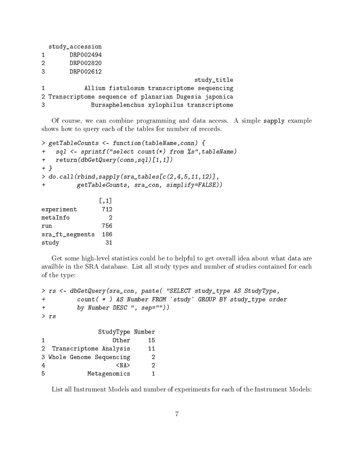|                | study_accession                                        |
|----------------|--------------------------------------------------------|
| $\mathbf{1}$   | DRP002494                                              |
| $\mathfrak{D}$ | DRP002820                                              |
| 3              | DRP002612                                              |
|                | study_title                                            |
| $\mathbf{1}$   | Allium fistulosum transcriptome sequencing             |
|                | 2 Transcriptome sequence of planarian Dugesia japonica |
| 3              | Bursaphelenchus xylophilus transcriptome               |

Of course, we can combine programming and data access. A simple sapply example shows how to query each of the tables for number of records.

```
> getTableCounts <- function(tableName,conn) {
+ sql <- sprintf("select count(*) from %s",tableName)
+ return(dbGetQuery(conn,sql)[1,1])
+ }
> do.call(rbind,sapply(sra_tables[c(2,4,5,11,12)],
+ getTableCounts, sra_con, simplify=FALSE))
              [,1]
experiment 712
metaInfo 2
run 756
sra_ft_segments 186
study 31
```
Get some high-level statistics could be to helpful to get overall idea about what data are availble in the SRA database. List all study types and number of studies contained for each of the type:

```
> rs <- dbGetQuery(sra_con, paste( "SELECT study_type AS StudyType,
+ count( * ) AS Number FROM `study` GROUP BY study_type order
+ by Number DESC ", sep=""))
> rs
                  StudyType Number
1 Other 15
2 Transcriptome Analysis 11
```

|   |  | 2 IL CHISCIIP COME ANGLYSIS | . . |
|---|--|-----------------------------|-----|
|   |  | 3 Whole Genome Sequencing   | 2   |
| 4 |  | $<$ NA $>$                  |     |
| 5 |  | Metagenomics                |     |

List all Instrument Models and number of experiments for each of the Instrument Models: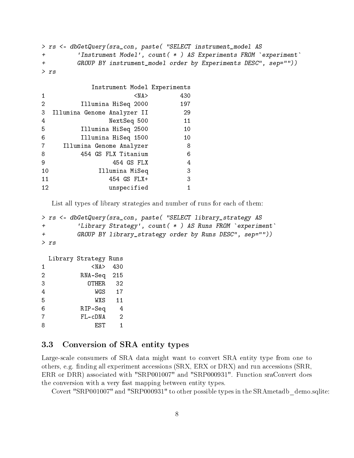```
> rs <- dbGetQuery(sra_con, paste( "SELECT instrument_model AS
+ 'Instrument Model', count( * ) AS Experiments FROM `experiment`
+ GROUP BY instrument_model order by Experiments DESC", sep=""))
> rs
```

|                   | Instrument Model Experiments |     |
|-------------------|------------------------------|-----|
| 1                 | $<$ NA $>$                   | 430 |
| 2                 | Illumina HiSeq 2000          | 197 |
| 3                 | Illumina Genome Analyzer II  | 29  |
| 4                 | NextSeq 500                  | 11  |
| 5                 | Illumina HiSeq 2500          | 10  |
| 6                 | Illumina HiSeq 1500          | 10  |
| 7                 | Illumina Genome Analyzer     | 8   |
| 8                 | 454 GS FLX Titanium          | 6   |
| 9                 | 454 GS FLX                   | 4   |
| 10                | Illumina MiSeq               | 3   |
| 11                | 454 GS FLX+                  | 3   |
| $12 \overline{ }$ | unspecified                  | 1   |

List all types of library strategies and number of runs for each of them:

```
> rs <- dbGetQuery(sra_con, paste( "SELECT library_strategy AS
+ 'Library Strategy', count( * ) AS Runs FROM `experiment`
+ GROUP BY library_strategy order by Runs DESC", sep=""))
> rs
```

```
Library Strategy Runs
1 <NA> 430
2 RNA-Seq 215
3 OTHER 32
4 WGS 17
5 WXS 11
6 RIP-Seq 4
7 FL-cDNA 2
8 EST 1
```
#### 3.3 Conversion of SRA entity types

Large-scale consumers of SRA data might want to convert SRA entity type from one to others, e.g. finding all experiment accessions (SRX, ERX or DRX) and run accessions (SRR, ERR or DRR) associated with "SRP001007" and "SRP000931". Function sraConvert does the conversion with a very fast mapping between entity types.

Covert "SRP001007" and "SRP000931" to other possible types in the SRAmetadb\_demo.sqlite: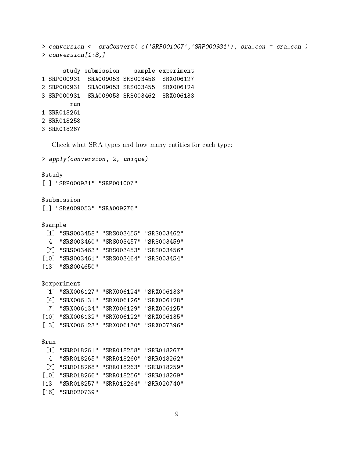```
> conversion <- sraConvert( c('SRP001007','SRP000931'), sra_con = sra_con )
> conversion[1:3,]
      study submission sample experiment
1 SRP000931 SRA009053 SRS003458 SRX006127
2 SRP000931 SRA009053 SRS003455 SRX006124
3 SRP000931 SRA009053 SRS003462 SRX006133
        run
1 SRR018261
2 SRR018258
3 SRR018267
  Check what SRA types and how many entities for each type:
> apply(conversion, 2, unique)
$study
[1] "SRP000931" "SRP001007"
$submission
[1] "SRA009053" "SRA009276"
$sample
 [1] "SRS003458" "SRS003455" "SRS003462"
 [4] "SRS003460" "SRS003457" "SRS003459"
 [7] "SRS003463" "SRS003453" "SRS003456"
[10] "SRS003461" "SRS003464" "SRS003454"
[13] "SRS004650"
$experiment
 [1] "SRX006127" "SRX006124" "SRX006133"
 [4] "SRX006131" "SRX006126" "SRX006128"
 [7] "SRX006134" "SRX006129" "SRX006125"
[10] "SRX006132" "SRX006122" "SRX006135"
[13] "SRX006123" "SRX006130" "SRX007396"
$run
 [1] "SRR018261" "SRR018258" "SRR018267"
 [4] "SRR018265" "SRR018260" "SRR018262"
 [7] "SRR018268" "SRR018263" "SRR018259"
[10] "SRR018266" "SRR018256" "SRR018269"
[13] "SRR018257" "SRR018264" "SRR020740"
[16] "SRR020739"
```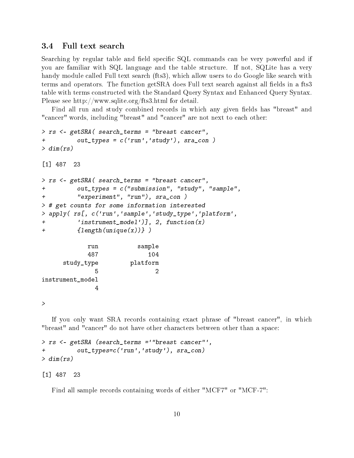#### 3.4 Full text search

Searching by regular table and field specific SQL commands can be very powerful and if you are familiar with SQL language and the table structure. If not, SQLite has a very handy module called Full text search (fts3), which allow users to do Google like search with terms and operators. The function getSRA does Full text search against all fields in a fts3 table with terms constructed with the Standard Query Syntax and Enhanced Query Syntax. Please see http://www.sqlite.org/fts3.html for detail.

Find all run and study combined records in which any given fields has "breast" and "cancer" words, including "breast" and "cancer" are not next to each other:

```
> rs <- getSRA( search_terms = "breast cancer",
+ out_types = c('run','study'), sra_con )
> dim(rs)[1] 487 23
> rs <- getSRA( search_terms = "breast cancer",
+ out_types = c("submission", "study", "sample",
+ "experiment", "run"), sra_con )
> # get counts for some information interested
> apply( rs[, c('run','sample','study_type','platform',
+ 'instrument_model')], 2, function(x)
+ {length(unique(x))} )
           run sample
           487 104
     study_type platform
             5 2
instrument_model
            4
```
>

If you only want SRA records containing exact phrase of "breast cancer", in which "breast" and "cancer" do not have other characters between other than a space:

```
> rs <- getSRA (search_terms ='"breast cancer"',
          out_types=c('run','study'), sra_con)
> dim(rs)
```
[1] 487 23

Find all sample records containing words of either "MCF7" or "MCF-7":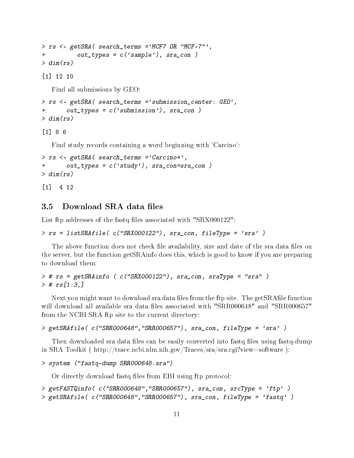```
> rs <- getSRA( search_terms ='MCF7 OR "MCF-7"',
+ out_types = c('sample'), sra_con )
> dim(rs)
```
[1] 12 10

Find all submissions by GEO:

```
> rs <- getSRA( search_terms ='submission_center: GEO',
+ out_types = c('submission'), sra_con )
> dim(rs)
```
[1] 8 6

Find study records containing a word beginning with 'Carcino':

```
> rs <- getSRA( search_terms ='Carcino*',
+ out_types = c('study'), sra_con=sra_con )
> dim(rs)
```
[1] 4 12

#### 3.5 Download SRA data files

List ftp addresses of the fastq files associated with "SRX000122":

```
> rs = listSRAfile( c("SRX000122"), sra_con, fileType = 'sra' )
```
The above function does not check file availability, size and date of the sra data files on the server, but the function getSRAinfo does this, which is good to know if you are preparing to download them:

```
> # rs = getSRAinfo ( c("SRX000122"), sra_con, sraType = "sra" )
> # rs[1:3,]
```
Next you might want to download sra data files from the ftp site. The getSRAfile function will download all available sra data files associated with "SRR000648" and "SRR000657" from the NCBI SRA ftp site to the current directory:

```
> getSRAfile( c("SRR000648","SRR000657"), sra_con, fileType = 'sra' )
```
Then downloaded sra data files can be easily converted into fastq files using fastq-dump in SRA Toolkit ( http://trace.ncbi.nlm.nih.gov/Traces/sra/sra.cgi?view=software ):

```
> system ("fastq-dump SRR000648.sra")
```
Or directly download fastq files from EBI using ftp protocol:

```
> getFASTQinfo( c("SRR000648","SRR000657"), sra_con, srcType = 'ftp' )
> getSRAfile( c("SRR000648","SRR000657"), sra_con, fileType = 'fastq' )
```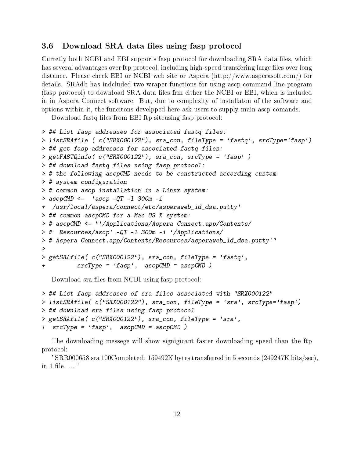#### 3.6 Download SRA data files using fasp protocol

Curretly both NCBI and EBI supports fasp protocol for downloading SRA data files, which has several advantages over ftp protocol, including high-speed transfering large files over long distance. Please check EBI or NCBI web site or Aspera (http://www.asperasoft.com/) for details. SRAdb has indcluded two wraper functions for using ascp command line program (fasp protocol) to download SRA data files frm either the NCBI or EBI, which is included in in Aspera Connect software. But, due to complexity of installaton of the software and options within it, the funcitons develpped here ask users to supply main ascp comands.

Download fastq files from EBI ftp siteusing fasp protocol:

```
> ## List fasp addresses for associated fastq files:
> listSRAfile ( c("SRX000122"), sra_con, fileType = 'fastq', srcType='fasp')
> ## get fasp addresses for associated fastq files:
> getFASTQinfo( c("SRX000122"), sra_con, srcType = 'fasp' )
> ## download fastq files using fasp protocol:
> # the following ascpCMD needs to be constructed according custom
> # system configuration
> # common ascp installation in a Linux system:
> ascpCMD <- 'ascp -QT -I 300m -i+ /usr/local/aspera/connect/etc/asperaweb_id_dsa.putty'
> ## common ascpCMD for a Mac OS X system:
> # ascpCMD <- "'/Applications/Aspera Connect.app/Contents/
> # Resources/ascp' -QT -l 300m -i '/Applications/
> # Aspera Connect.app/Contents/Resources/asperaweb_id_dsa.putty'"
\,>> getSRAfile( c("SRX000122"), sra_con, fileType = 'fastq',
          srcType = 'fasp', ascpCMD = ascpCMD)
```
Download sra files from NCBI using fasp protocol:

```
> ## List fasp addresses of sra files associated with "SRX000122"
> listSRAfile( c("SRX000122"), sra_con, fileType = 'sra', srcType='fasp')
> ## download sra files using fasp protocol
> getSRAfile( c("SRX000122"), sra_con, fileType = 'sra',
+ srcType = 'fasp', ascpCMD = ascpCMD )
```
The downloading messege will show signigicant faster downloading speed than the ftp protocol:

' SRR000658.sra 100Completed: 159492K bytes transferred in 5 seconds (249247K bits/sec), in 1 file.  $\ldots$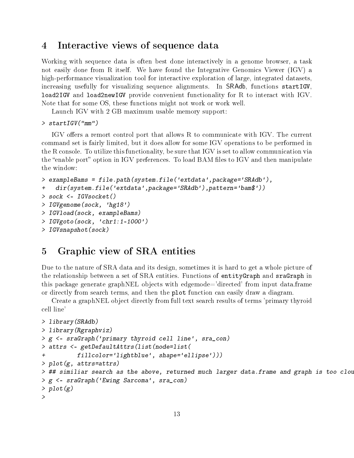### 4 Interactive views of sequence data

Working with sequence data is often best done interactively in a genome browser, a task not easily done from R itself. We have found the Integrative Genomics Viewer (IGV) a high-performance visualization tool for interactive exploration of large, integrated datasets, increasing usefully for visualizing sequence alignments. In SRAdb, functions startIGV, load2IGV and load2newIGV provide convenient functionality for R to interact with IGV. Note that for some OS, these functions might not work or work well.

Launch IGV with 2 GB maximum usable memory support:

```
> startIGV("mm")
```
IGV offers a remort control port that allows R to communicate with IGV. The current command set is fairly limited, but it does allow for some IGV operations to be performed in the R console. To utilize this functionality, be sure that IGV is set to allow communication via the "enable port" option in IGV preferences. To load BAM files to IGV and then manipulate the window:

```
> exampleBams = file.path(system.file('extdata',package='SRAdb'),
+ dir(system.file('extdata',package='SRAdb'),pattern='bam$'))
> sock <- IGVsocket()
> IGVgenome(sock, 'hg18')
> IGVload(sock, exampleBams)
> IGVgoto(sock, 'chr1:1-1000')
> IGVsnapshot(sock)
```
### 5 Graphic view of SRA entities

Due to the nature of SRA data and its design, sometimes it is hard to get a whole picture of the relationship between a set of SRA entities. Functions of entityGraph and sraGraph in this package generate graphNEL objects with edgemode='directed' from input data.frame or directly from search terms, and then the plot function can easily draw a diagram.

Create a graphNEL object directly from full text search results of terms 'primary thyroid cell line'

```
> library(SRAdb)
> library(Rgraphviz)
> g <- sraGraph('primary thyroid cell line', sra_con)
> attrs <- getDefaultAttrs(list(node=list(
          + fillcolor='lightblue', shape='ellipse')))
> plot(g, attrs=attrs)
> ## similiar search as the above, returned much larger data.frame and graph is too clou
> g <- sraGraph('Ewing Sarcoma', sra_con)
> plot(g)
>
```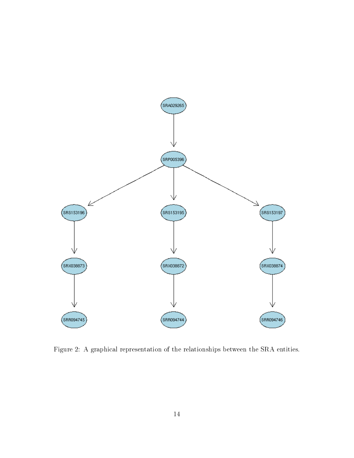

Figure 2: A graphical representation of the relationships between the SRA entities.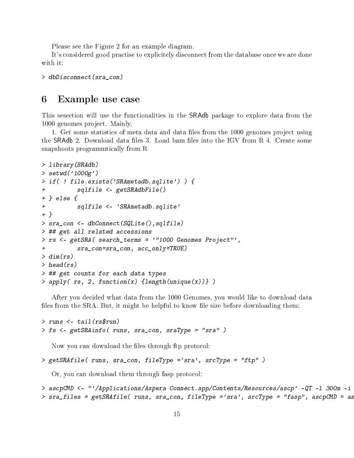Please see the Figure 2 for an example diagram.

It's considered good practise to explicitely disconnect from the database once we are done with it:

```
> dbDisconnect(sra_con)
```
### 6 Example use case

This sesection will use the functionalities in the SRAdb package to explore data from the 1000 genomes project. Mainly,

1. Get some statistics of meta data and data files from the 1000 genomes project using the SRAdb 2. Download data files 3. Load bam files into the IGV from R 4. Create some snapshoots programmtically from R

```
> library(SRAdb)
> setwd('1000g')
> if( ! file.exists('SRAmetadb.sqlite') ) {
+ sqlfile <- getSRAdbFile()
+ } else {
+ sqlfile <- 'SRAmetadb.sqlite'
+ }
> sra_con <- dbConnect(SQLite(),sqlfile)
> ## get all related accessions
> rs <- getSRA( search_terms = '"1000 Genomes Project"',
+ sra_con=sra_con, acc_only=TRUE)
> dim(rs)> head(rs)
> ## get counts for each data types
> apply( rs, 2, function(x) {length(unique(x))} )
```
After you decided what data from the 1000 Genomes, you would like to download data files from the  $SRA$ . But, it might be helpful to know file size before downloading them:

```
> runs <- tail(rs$run)
> fs <- getSRAinfo( runs, sra_con, sraType = "sra" )
```
Now you can download the files through ftp protocol:

```
> getSRAfile( runs, sra_con, fileType ='sra', srcType = "ftp" )
```
Or, you can download them through fasp protocol:

```
> ascpCMD <- "'/Applications/Aspera Connect.app/Contents/Resources/ascp' -QT -1 300m -i
> sra_files = getSRAfile( runs, sra_con, fileType ='sra', srcType = "fasp", ascpCMD = as
```